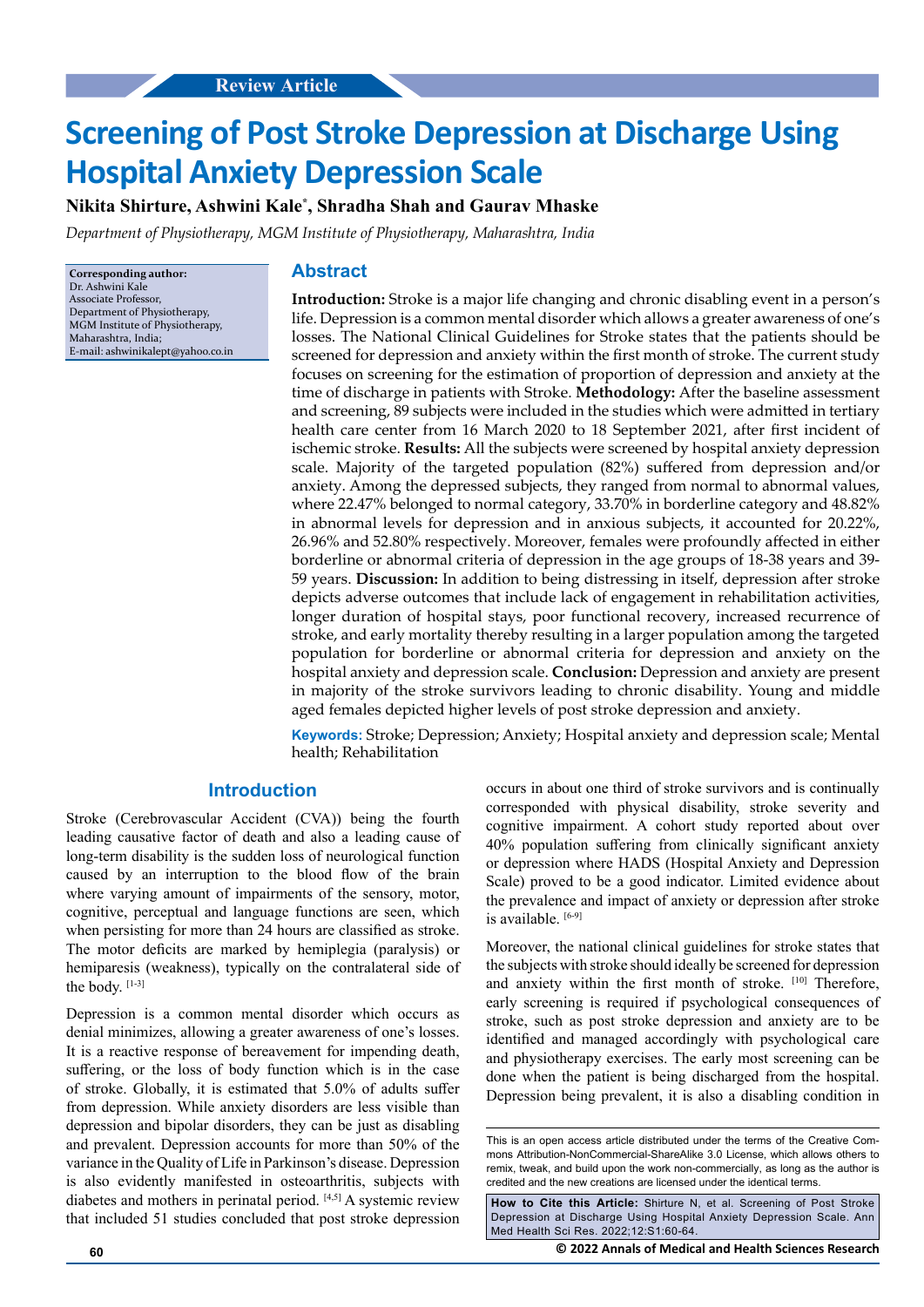# **Screening of Post Stroke Depression at Discharge Using Hospital Anxiety Depression Scale**

**Nikita Shirture, Ashwini Kale\* , Shradha Shah and Gaurav Mhaske**

*Department of Physiotherapy, MGM Institute of Physiotherapy, Maharashtra, India*

**Corresponding author:** Dr. Ashwini Kale Associate Professor, Department of Physiotherapy, MGM Institute of Physiotherapy, Maharashtra, India; E-mail: [ashwinikalept@yahoo.co.in](mailto:ashwinikalept@yahoo.co.in)

## **Abstract**

**Introduction:** Stroke is a major life changing and chronic disabling event in a person's life. Depression is a common mental disorder which allows a greater awareness of one's losses. The National Clinical Guidelines for Stroke states that the patients should be screened for depression and anxiety within the first month of stroke. The current study focuses on screening for the estimation of proportion of depression and anxiety at the time of discharge in patients with Stroke. **Methodology:** After the baseline assessment and screening, 89 subjects were included in the studies which were admitted in tertiary health care center from 16 March 2020 to 18 September 2021, after first incident of ischemic stroke. **Results:** All the subjects were screened by hospital anxiety depression scale. Majority of the targeted population (82%) suffered from depression and/or anxiety. Among the depressed subjects, they ranged from normal to abnormal values, where 22.47% belonged to normal category, 33.70% in borderline category and 48.82% in abnormal levels for depression and in anxious subjects, it accounted for 20.22%, 26.96% and 52.80% respectively. Moreover, females were profoundly affected in either borderline or abnormal criteria of depression in the age groups of 18-38 years and 39- 59 years. **Discussion:** In addition to being distressing in itself, depression after stroke depicts adverse outcomes that include lack of engagement in rehabilitation activities, longer duration of hospital stays, poor functional recovery, increased recurrence of stroke, and early mortality thereby resulting in a larger population among the targeted population for borderline or abnormal criteria for depression and anxiety on the hospital anxiety and depression scale. **Conclusion:** Depression and anxiety are present in majority of the stroke survivors leading to chronic disability. Young and middle aged females depicted higher levels of post stroke depression and anxiety.

**Keywords:** Stroke; Depression; Anxiety; Hospital anxiety and depression scale; Mental health; Rehabilitation

## **Introduction**

Stroke (Cerebrovascular Accident (CVA)) being the fourth leading causative factor of death and also a leading cause of long-term disability is the sudden loss of neurological function caused by an interruption to the blood flow of the brain where varying amount of impairments of the sensory, motor, cognitive, perceptual and language functions are seen, which when persisting for more than 24 hours are classified as stroke. The motor deficits are marked by hemiplegia (paralysis) or hemiparesis (weakness), typically on the contralateral side of the body. [1-3]

Depression is a common mental disorder which occurs as denial minimizes, allowing a greater awareness of one's losses. It is a reactive response of bereavement for impending death, suffering, or the loss of body function which is in the case of stroke. Globally, it is estimated that 5.0% of adults suffer from depression. While anxiety disorders are less visible than depression and bipolar disorders, they can be just as disabling and prevalent. Depression accounts for more than 50% of the variance in the Quality of Life in Parkinson's disease. Depression is also evidently manifested in osteoarthritis, subjects with diabetes and mothers in perinatal period. [4,5] A systemic review that included 51 studies concluded that post stroke depression occurs in about one third of stroke survivors and is continually corresponded with physical disability, stroke severity and cognitive impairment. A cohort study reported about over 40% population suffering from clinically significant anxiety or depression where HADS (Hospital Anxiety and Depression Scale) proved to be a good indicator. Limited evidence about the prevalence and impact of anxiety or depression after stroke is available. [6-9]

Moreover, the national clinical guidelines for stroke states that the subjects with stroke should ideally be screened for depression and anxiety within the first month of stroke. [10] Therefore, early screening is required if psychological consequences of stroke, such as post stroke depression and anxiety are to be identified and managed accordingly with psychological care and physiotherapy exercises. The early most screening can be done when the patient is being discharged from the hospital. Depression being prevalent, it is also a disabling condition in

**How to Cite this Article:** Shirture N, et al. Screening of Post Stroke Depression at Discharge Using Hospital Anxiety Depression Scale. Ann Med Health Sci Res. 2022;12:S1:60-64.

**60 © 2022 Annals of Medical and Health Sciences Research** 

This is an open access article distributed under the terms of the Creative Commons Attribution-NonCommercial-ShareAlike 3.0 License, which allows others to remix, tweak, and build upon the work non‑commercially, as long as the author is credited and the new creations are licensed under the identical terms.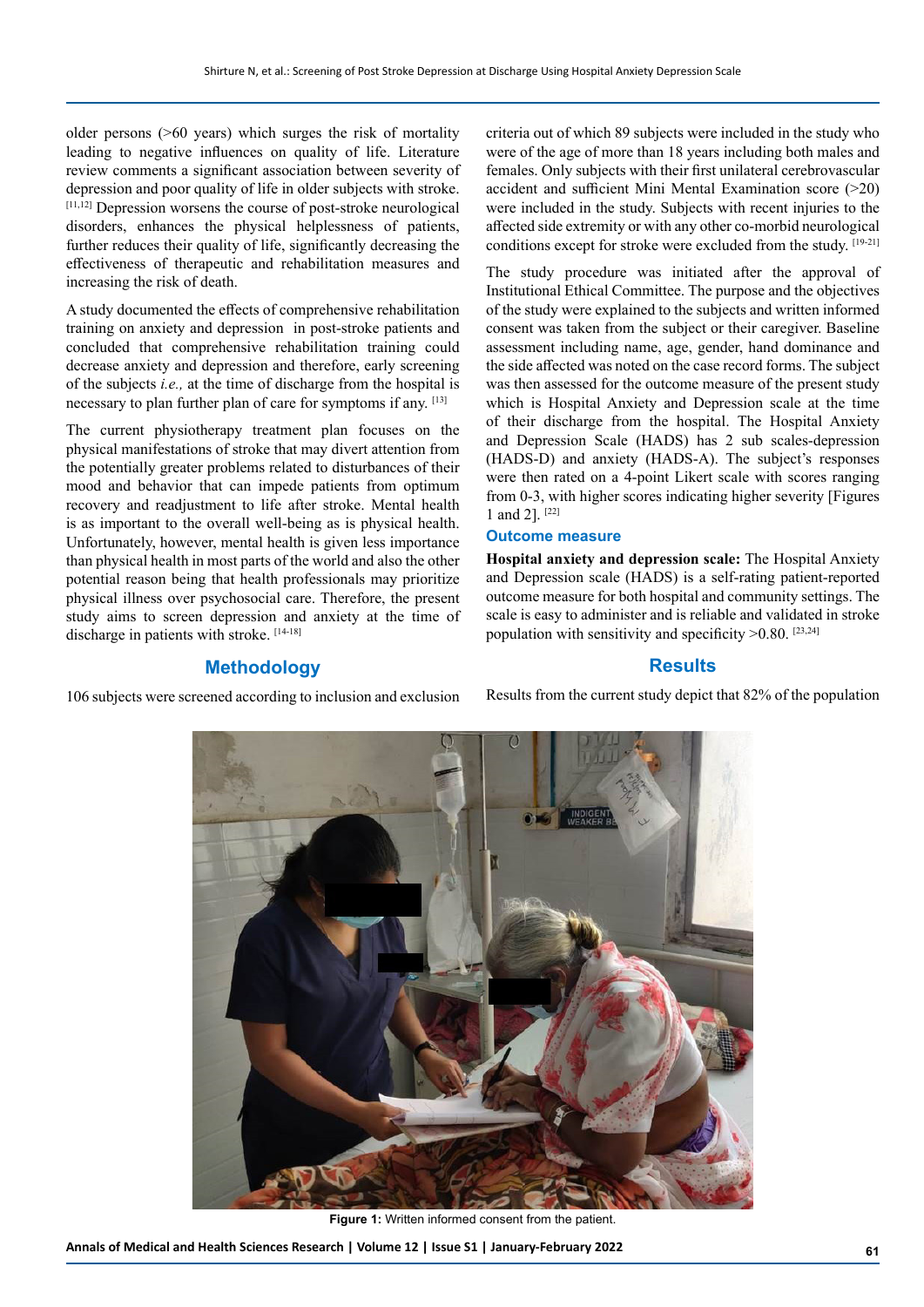older persons (>60 years) which surges the risk of mortality leading to negative influences on quality of life. Literature review comments a significant association between severity of depression and poor quality of life in older subjects with stroke. [11,12] Depression worsens the course of post-stroke neurological disorders, enhances the physical helplessness of patients, further reduces their quality of life, significantly decreasing the effectiveness of therapeutic and rehabilitation measures and increasing the risk of death.

A study documented the effects of comprehensive rehabilitation training on anxiety and depression in post-stroke patients and concluded that comprehensive rehabilitation training could decrease anxiety and depression and therefore, early screening of the subjects *i.e.,* at the time of discharge from the hospital is necessary to plan further plan of care for symptoms if any. [13]

The current physiotherapy treatment plan focuses on the physical manifestations of stroke that may divert attention from the potentially greater problems related to disturbances of their mood and behavior that can impede patients from optimum recovery and readjustment to life after stroke. Mental health is as important to the overall well-being as is physical health. Unfortunately, however, mental health is given less importance than physical health in most parts of the world and also the other potential reason being that health professionals may prioritize physical illness over psychosocial care. Therefore, the present study aims to screen depression and anxiety at the time of discharge in patients with stroke. [14-18]

## **Methodology**

106 subjects were screened according to inclusion and exclusion

criteria out of which 89 subjects were included in the study who were of the age of more than 18 years including both males and females. Only subjects with their first unilateral cerebrovascular accident and sufficient Mini Mental Examination score (>20) were included in the study. Subjects with recent injuries to the affected side extremity or with any other co-morbid neurological conditions except for stroke were excluded from the study. [19-21]

The study procedure was initiated after the approval of Institutional Ethical Committee. The purpose and the objectives of the study were explained to the subjects and written informed consent was taken from the subject or their caregiver. Baseline assessment including name, age, gender, hand dominance and the side affected was noted on the case record forms. The subject was then assessed for the outcome measure of the present study which is Hospital Anxiety and Depression scale at the time of their discharge from the hospital. The Hospital Anxiety and Depression Scale (HADS) has 2 sub scales-depression (HADS-D) and anxiety (HADS-A). The subject's responses were then rated on a 4-point Likert scale with scores ranging from 0-3, with higher scores indicating higher severity [Figures 1 and 2]. [22]

#### **Outcome measure**

**Hospital anxiety and depression scale:** The Hospital Anxiety and Depression scale (HADS) is a self-rating patient-reported outcome measure for both hospital and community settings. The scale is easy to administer and is reliable and validated in stroke population with sensitivity and specificity  $>0.80$ . [23,24]

#### **Results**

Results from the current study depict that 82% of the population



**Figure 1:** Written informed consent from the patient.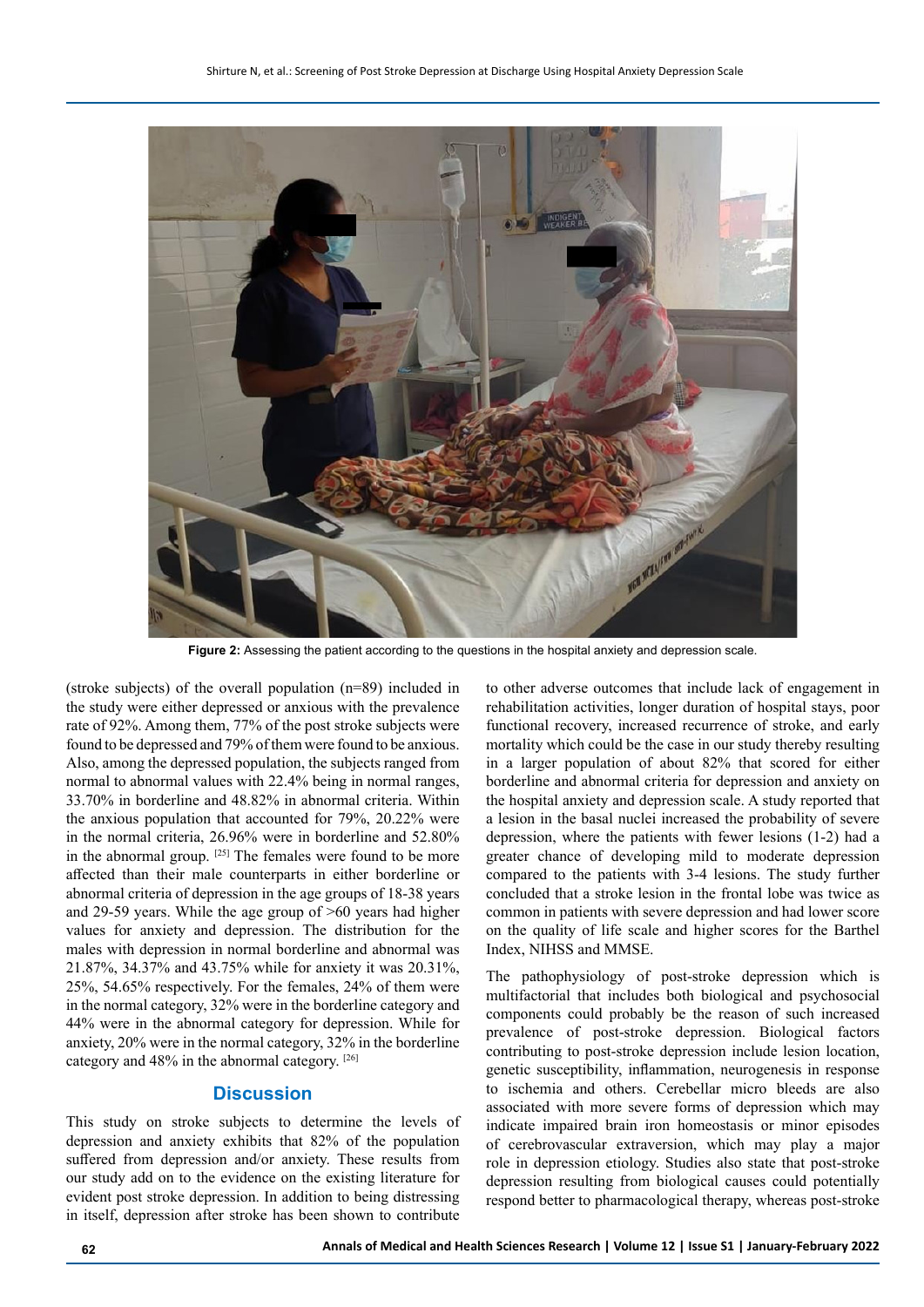

**Figure 2:** Assessing the patient according to the questions in the hospital anxiety and depression scale.

(stroke subjects) of the overall population (n=89) included in the study were either depressed or anxious with the prevalence rate of 92%. Among them, 77% of the post stroke subjects were found to be depressed and 79% of them were found to be anxious. Also, among the depressed population, the subjects ranged from normal to abnormal values with 22.4% being in normal ranges, 33.70% in borderline and 48.82% in abnormal criteria. Within the anxious population that accounted for 79%, 20.22% were in the normal criteria, 26.96% were in borderline and 52.80% in the abnormal group. [25] The females were found to be more affected than their male counterparts in either borderline or abnormal criteria of depression in the age groups of 18-38 years and 29-59 years. While the age group of >60 years had higher values for anxiety and depression. The distribution for the males with depression in normal borderline and abnormal was 21.87%, 34.37% and 43.75% while for anxiety it was 20.31%, 25%, 54.65% respectively. For the females, 24% of them were in the normal category, 32% were in the borderline category and 44% were in the abnormal category for depression. While for anxiety, 20% were in the normal category, 32% in the borderline category and 48% in the abnormal category. [26]

## **Discussion**

This study on stroke subjects to determine the levels of depression and anxiety exhibits that 82% of the population suffered from depression and/or anxiety. These results from our study add on to the evidence on the existing literature for evident post stroke depression. In addition to being distressing in itself, depression after stroke has been shown to contribute to other adverse outcomes that include lack of engagement in rehabilitation activities, longer duration of hospital stays, poor functional recovery, increased recurrence of stroke, and early mortality which could be the case in our study thereby resulting in a larger population of about 82% that scored for either borderline and abnormal criteria for depression and anxiety on the hospital anxiety and depression scale. A study reported that a lesion in the basal nuclei increased the probability of severe depression, where the patients with fewer lesions (1-2) had a greater chance of developing mild to moderate depression compared to the patients with 3-4 lesions. The study further concluded that a stroke lesion in the frontal lobe was twice as common in patients with severe depression and had lower score on the quality of life scale and higher scores for the Barthel Index, NIHSS and MMSE.

The pathophysiology of post-stroke depression which is multifactorial that includes both biological and psychosocial components could probably be the reason of such increased prevalence of post-stroke depression. Biological factors contributing to post-stroke depression include lesion location, genetic susceptibility, inflammation, neurogenesis in response to ischemia and others. Cerebellar micro bleeds are also associated with more severe forms of depression which may indicate impaired brain iron homeostasis or minor episodes of cerebrovascular extraversion, which may play a major role in depression etiology. Studies also state that post-stroke depression resulting from biological causes could potentially respond better to pharmacological therapy, whereas post-stroke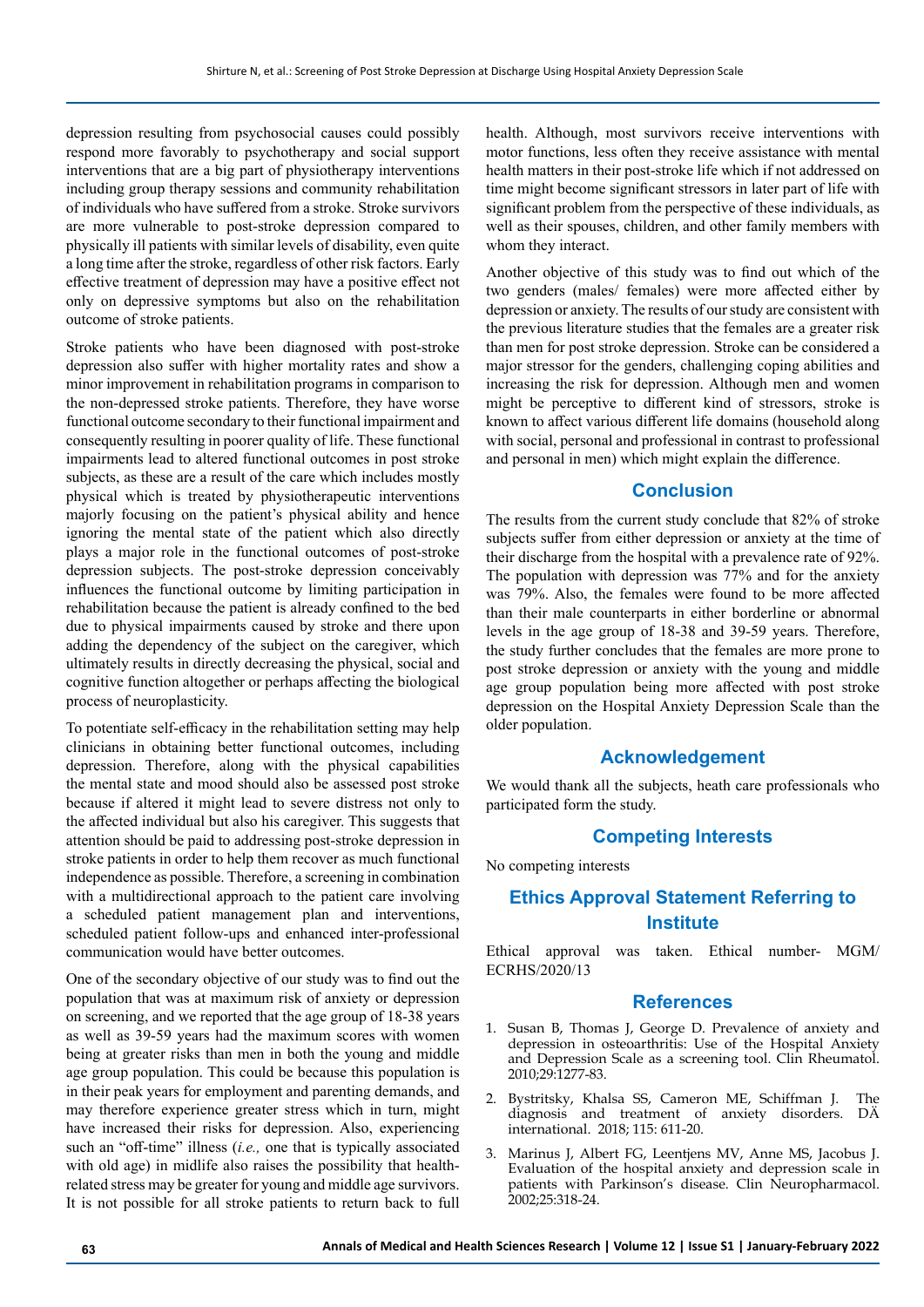depression resulting from psychosocial causes could possibly respond more favorably to psychotherapy and social support interventions that are a big part of physiotherapy interventions including group therapy sessions and community rehabilitation of individuals who have suffered from a stroke. Stroke survivors are more vulnerable to post-stroke depression compared to physically ill patients with similar levels of disability, even quite a long time after the stroke, regardless of other risk factors. Early effective treatment of depression may have a positive effect not only on depressive symptoms but also on the rehabilitation outcome of stroke patients.

Stroke patients who have been diagnosed with post-stroke depression also suffer with higher mortality rates and show a minor improvement in rehabilitation programs in comparison to the non-depressed stroke patients. Therefore, they have worse functional outcome secondary to their functional impairment and consequently resulting in poorer quality of life. These functional impairments lead to altered functional outcomes in post stroke subjects, as these are a result of the care which includes mostly physical which is treated by physiotherapeutic interventions majorly focusing on the patient's physical ability and hence ignoring the mental state of the patient which also directly plays a major role in the functional outcomes of post-stroke depression subjects. The post-stroke depression conceivably influences the functional outcome by limiting participation in rehabilitation because the patient is already confined to the bed due to physical impairments caused by stroke and there upon adding the dependency of the subject on the caregiver, which ultimately results in directly decreasing the physical, social and cognitive function altogether or perhaps affecting the biological process of neuroplasticity.

To potentiate self-efficacy in the rehabilitation setting may help clinicians in obtaining better functional outcomes, including depression. Therefore, along with the physical capabilities the mental state and mood should also be assessed post stroke because if altered it might lead to severe distress not only to the affected individual but also his caregiver. This suggests that attention should be paid to addressing post-stroke depression in stroke patients in order to help them recover as much functional independence as possible. Therefore, a screening in combination with a multidirectional approach to the patient care involving a scheduled patient management plan and interventions, scheduled patient follow-ups and enhanced inter-professional communication would have better outcomes.

One of the secondary objective of our study was to find out the population that was at maximum risk of anxiety or depression on screening, and we reported that the age group of 18-38 years as well as 39-59 years had the maximum scores with women being at greater risks than men in both the young and middle age group population. This could be because this population is in their peak years for employment and parenting demands, and may therefore experience greater stress which in turn, might have increased their risks for depression. Also, experiencing such an "off-time" illness (*i.e.,* one that is typically associated with old age) in midlife also raises the possibility that healthrelated stress may be greater for young and middle age survivors. It is not possible for all stroke patients to return back to full health. Although, most survivors receive interventions with motor functions, less often they receive assistance with mental health matters in their post-stroke life which if not addressed on time might become significant stressors in later part of life with significant problem from the perspective of these individuals, as well as their spouses, children, and other family members with whom they interact.

Another objective of this study was to find out which of the two genders (males/ females) were more affected either by depression or anxiety. The results of our study are consistent with the previous literature studies that the females are a greater risk than men for post stroke depression. Stroke can be considered a major stressor for the genders, challenging coping abilities and increasing the risk for depression. Although men and women might be perceptive to different kind of stressors, stroke is known to affect various different life domains (household along with social, personal and professional in contrast to professional and personal in men) which might explain the difference.

## **Conclusion**

The results from the current study conclude that 82% of stroke subjects suffer from either depression or anxiety at the time of their discharge from the hospital with a prevalence rate of 92%. The population with depression was 77% and for the anxiety was 79%. Also, the females were found to be more affected than their male counterparts in either borderline or abnormal levels in the age group of 18-38 and 39-59 years. Therefore, the study further concludes that the females are more prone to post stroke depression or anxiety with the young and middle age group population being more affected with post stroke depression on the Hospital Anxiety Depression Scale than the older population.

#### **Acknowledgement**

We would thank all the subjects, heath care professionals who participated form the study.

## **Competing Interests**

No competing interests

## **Ethics Approval Statement Referring to Institute**

Ethical approval was taken. Ethical number- MGM/ ECRHS/2020/13

#### **References**

- 1. Susan B, Thomas J, George D. [Prevalence of anxiety and](https://link.springer.com/article/10.1007/s10067-010-1547-7)  [depression in osteoarthritis: Use of the Hospital Anxiety](https://link.springer.com/article/10.1007/s10067-010-1547-7)  [and Depression Scale as a screening tool.](https://link.springer.com/article/10.1007/s10067-010-1547-7) Clin Rheumatol. 2010;29:1277-83.
- 2. Bystritsky, Khalsa SS, Cameron ME, Schiffman J. [The](https://www.aerzteblatt.de/int/archive/article/200319)  [diagnosis and treatment of anxiety disorders](https://www.aerzteblatt.de/int/archive/article/200319). DÄ international. 2018; 115: 611-20.
- 3. Marinus J, Albert FG, Leentjens MV, Anne MS, Jacobus J. [Evaluation of the hospital anxiety and depression scale in](https://journals.lww.com/clinicalneuropharm/Abstract/2002/11000/Evaluation_of_the_Hospital_Anxiety_and_Depression.8.aspx)  [patients with Parkinson's disease.](https://journals.lww.com/clinicalneuropharm/Abstract/2002/11000/Evaluation_of_the_Hospital_Anxiety_and_Depression.8.aspx) Clin Neuropharmacol. 2002;25:318-24.